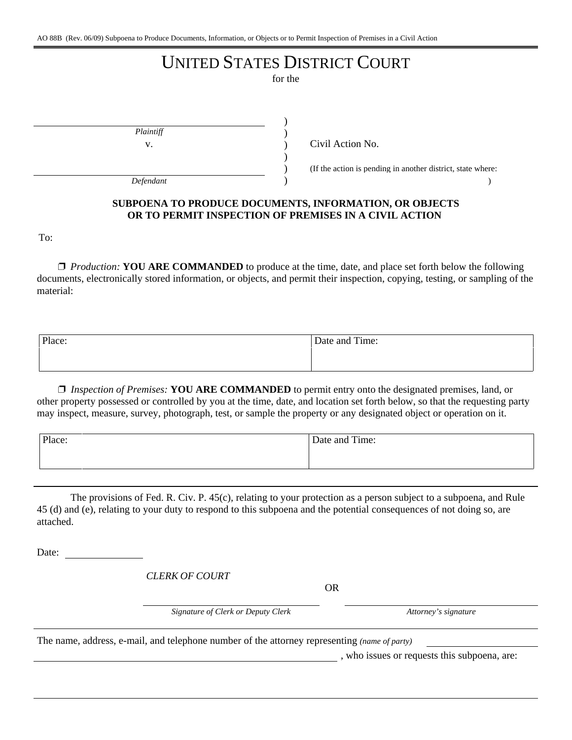# UNITED STATES DISTRICT COURT

for the

) ) ) ) ) )

*Plaintiff*

 $\begin{pmatrix} \frac{1}{2} & \frac{1}{2} & \frac{1}{2} & \frac{1}{2} & \frac{1}{2} & \frac{1}{2} & \frac{1}{2} & \frac{1}{2} & \frac{1}{2} & \frac{1}{2} & \frac{1}{2} & \frac{1}{2} & \frac{1}{2} & \frac{1}{2} & \frac{1}{2} & \frac{1}{2} & \frac{1}{2} & \frac{1}{2} & \frac{1}{2} & \frac{1}{2} & \frac{1}{2} & \frac{1}{2} & \frac{1}{2} & \frac{1}{2} & \frac{1}{2} & \frac{1}{2} & \frac{1}{2}$ 

v. Civil Action No.

(If the action is pending in another district, state where:

# **SUBPOENA TO PRODUCE DOCUMENTS, INFORMATION, OR OBJECTS OR TO PERMIT INSPECTION OF PREMISES IN A CIVIL ACTION**

To:

□ *Production:* **YOU ARE COMMANDED** to produce at the time, date, and place set forth below the following documents, electronically stored information, or objects, and permit their inspection, copying, testing, or sampling of the material:

| Place: | Date and Time: |
|--------|----------------|
|        |                |

' *Inspection of Premises:* **YOU ARE COMMANDED** to permit entry onto the designated premises, land, or other property possessed or controlled by you at the time, date, and location set forth below, so that the requesting party may inspect, measure, survey, photograph, test, or sample the property or any designated object or operation on it.

| Place: | Date and Time: |
|--------|----------------|
|        |                |
|        |                |

The provisions of Fed. R. Civ. P. 45(c), relating to your protection as a person subject to a subpoena, and Rule 45 (d) and (e), relating to your duty to respond to this subpoena and the potential consequences of not doing so, are attached.

Date:

*CLERK OF COURT*

OR

*Signature of Clerk or Deputy Clerk Attorney's signature*

The name, address, e-mail, and telephone number of the attorney representing *(name of party)*

, who issues or requests this subpoena, are: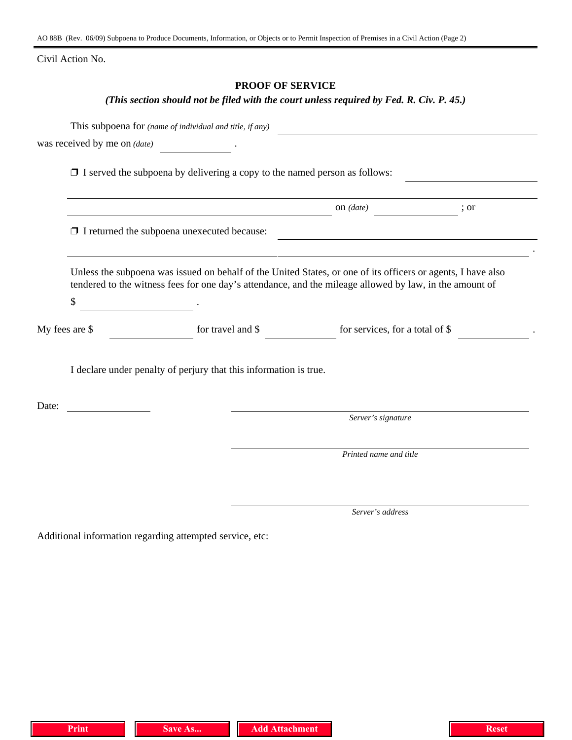AO 88B (Rev. 06/09) Subpoena to Produce Documents, Information, or Objects or to Permit Inspection of Premises in a Civil Action (Page 2)

Civil Action No.

# **PROOF OF SERVICE**

# *(This section should not be filed with the court unless required by Fed. R. Civ. P. 45.)*

|                | This subpoena for (name of individual and title, if any)                                                                                                                                                                |                                 |      |
|----------------|-------------------------------------------------------------------------------------------------------------------------------------------------------------------------------------------------------------------------|---------------------------------|------|
|                | was received by me on $(date)$ $\qquad \qquad$ .                                                                                                                                                                        |                                 |      |
|                | $\Box$ I served the subpoena by delivering a copy to the named person as follows:                                                                                                                                       |                                 |      |
|                |                                                                                                                                                                                                                         | on $(data)$                     | ; or |
|                | $\Box$ I returned the subpoena unexecuted because:                                                                                                                                                                      |                                 |      |
|                | Unless the subpoena was issued on behalf of the United States, or one of its officers or agents, I have also<br>tendered to the witness fees for one day's attendance, and the mileage allowed by law, in the amount of |                                 |      |
| \$             |                                                                                                                                                                                                                         |                                 |      |
| My fees are \$ | for travel and \$                                                                                                                                                                                                       | for services, for a total of \$ |      |
|                | I declare under penalty of perjury that this information is true.                                                                                                                                                       |                                 |      |
| Date:          |                                                                                                                                                                                                                         |                                 |      |
|                |                                                                                                                                                                                                                         | Server's signature              |      |
|                |                                                                                                                                                                                                                         | Printed name and title          |      |
|                |                                                                                                                                                                                                                         |                                 |      |
|                |                                                                                                                                                                                                                         | Server's address                |      |

Additional information regarding attempted service, etc: